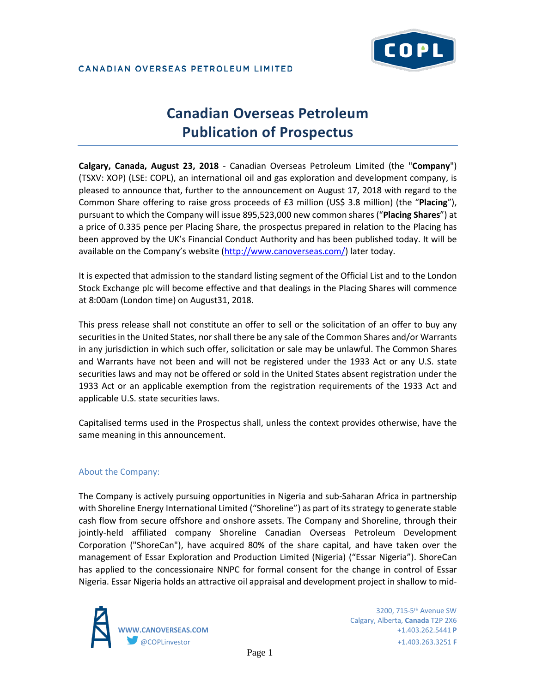

# **Canadian Overseas Petroleum Publication of Prospectus**

**Calgary, Canada, August 23, 2018** - Canadian Overseas Petroleum Limited (the "**Company**") (TSXV: XOP) (LSE: COPL), an international oil and gas exploration and development company, is pleased to announce that, further to the announcement on August 17, 2018 with regard to the Common Share offering to raise gross proceeds of £3 million (US\$ 3.8 million) (the "**Placing**"), pursuant to which the Company will issue 895,523,000 new common shares ("**Placing Shares**") at a price of 0.335 pence per Placing Share, the prospectus prepared in relation to the Placing has been approved by the UK's Financial Conduct Authority and has been published today. It will be available on the Company's website [\(http://www.canoverseas.com/\)](http://www.canoverseas.com/) later today.

It is expected that admission to the standard listing segment of the Official List and to the London Stock Exchange plc will become effective and that dealings in the Placing Shares will commence at 8:00am (London time) on August31, 2018.

This press release shall not constitute an offer to sell or the solicitation of an offer to buy any securities in the United States, nor shall there be any sale of the Common Shares and/or Warrants in any jurisdiction in which such offer, solicitation or sale may be unlawful. The Common Shares and Warrants have not been and will not be registered under the 1933 Act or any U.S. state securities laws and may not be offered or sold in the United States absent registration under the 1933 Act or an applicable exemption from the registration requirements of the 1933 Act and applicable U.S. state securities laws.

Capitalised terms used in the Prospectus shall, unless the context provides otherwise, have the same meaning in this announcement.

## About the Company:

The Company is actively pursuing opportunities in Nigeria and sub-Saharan Africa in partnership with Shoreline Energy International Limited ("Shoreline") as part of its strategy to generate stable cash flow from secure offshore and onshore assets. The Company and Shoreline, through their jointly-held affiliated company Shoreline Canadian Overseas Petroleum Development Corporation ("ShoreCan"), have acquired 80% of the share capital, and have taken over the management of Essar Exploration and Production Limited (Nigeria) ("Essar Nigeria"). ShoreCan has applied to the concessionaire NNPC for formal consent for the change in control of Essar Nigeria. Essar Nigeria holds an attractive oil appraisal and development project in shallow to mid-



 3200, 715-5th Avenue SW Calgary, Alberta, **Canada** T2P 2X6 **WWW.CANOVERSEAS.COM** +1.403.262.5441 **P** @COPLinvestor +1.403.263.3251 **F**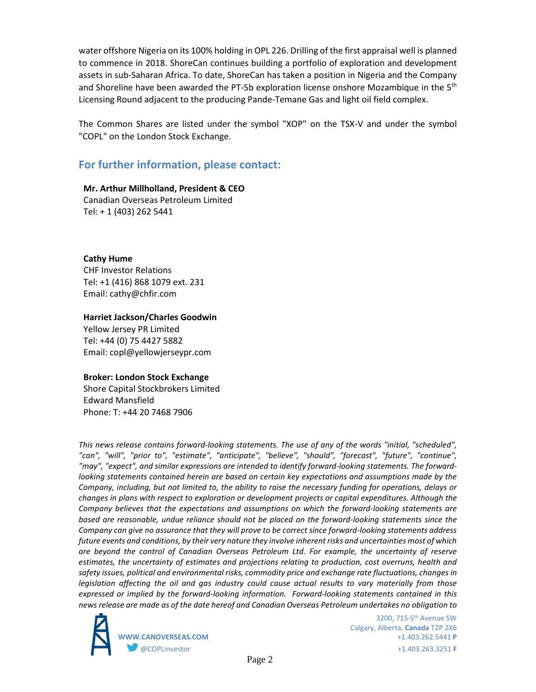water offshore Nigeria on its 100% holding in OPL 226. Drilling of the first appraisal well is planned to commence in 2018. ShoreCan continues building a portfolio of exploration and development assets in sub-Saharan Africa. To date, ShoreCan has taken a position in Nigeria and the Company and Shoreline have been awarded the PT-5b exploration license onshore Mozambique in the  $5<sup>th</sup>$ Licensing Round adjacent to the producing Pande-Temane Gas and light oil field complex.

The Common Shares are listed under the symbol "XOP" on the TSX-V and under the symbol "COPL" on the London Stock Exchange.

## **For further information, please contact:**

**Mr. Arthur Millholland, President & CEO** Canadian Overseas Petroleum Limited Tel: + 1 (403) 262 5441

**Cathy Hume** CHF Investor Relations Tel: +1 (416) 868 1079 ext. 231 Email: cathy@chfir.com

### **Harriet Jackson/Charles Goodwin**

Yellow Jersey PR Limited Tel: +44 (0) 75 4427 5882 Email: copl@yellowjerseypr.com

### **Broker: London Stock Exchange**

Shore Capital Stockbrokers Limited Edward Mansfield Phone: T: +44 20 7468 7906

*This news release contains forward-looking statements. The use of any of the words "initial, "scheduled", "can", "will", "prior to", "estimate", "anticipate", "believe", "should", "forecast", "future", "continue", "may", "expect", and similar expressions are intended to identify forward-looking statements. The forwardlooking statements contained herein are based on certain key expectations and assumptions made by the Company, including, but not limited to, the ability to raise the necessary funding for operations, delays or changes in plans with respect to exploration or development projects or capital expenditures. Although the Company believes that the expectations and assumptions on which the forward-looking statements are based are reasonable, undue reliance should not be placed on the forward-looking statements since the Company can give no assurance that they will prove to be correct since forward-looking statements address future events and conditions, by their very nature they involve inherent risks and uncertainties most of which are beyond the control of Canadian Overseas Petroleum Ltd. For example, the uncertainty of reserve estimates, the uncertainty of estimates and projections relating to production, cost overruns, health and safety issues, political and environmental risks, commodity price and exchange rate fluctuations, changes in legislation affecting the oil and gas industry could cause actual results to vary materially from those expressed or implied by the forward-looking information. Forward-looking statements contained in this news release are made as of the date hereof and Canadian Overseas Petroleum undertakes no obligation to* 



 3200, 715-5th Avenue SW Calgary, Alberta, **Canada** T2P 2X6 **WWW.CANOVERSEAS.COM** +1.403.262.5441 **P** @COPLinvestor +1.403.263.3251 **F**